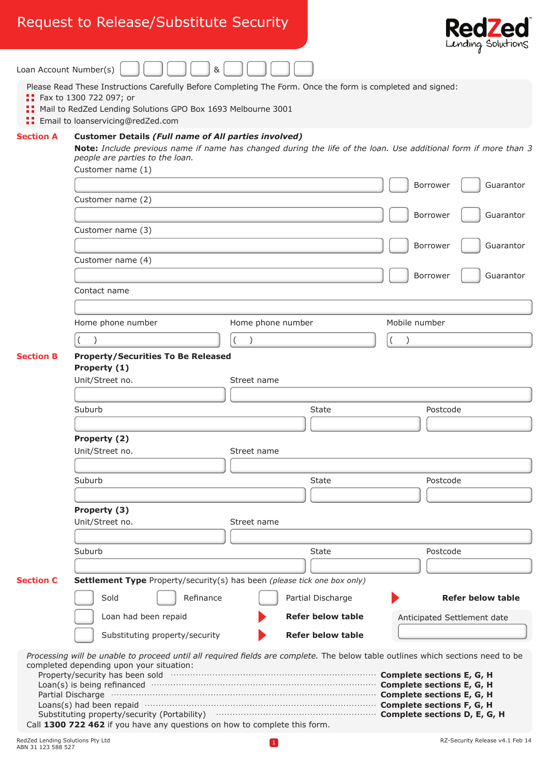## Request to Release/Substitute Security



|                        |                                                                                                                                                                                                                                                                                                                                                                                                                                                                                                                                                                                                     |                                               | $m_{\text{min}}$                                                                                                |
|------------------------|-----------------------------------------------------------------------------------------------------------------------------------------------------------------------------------------------------------------------------------------------------------------------------------------------------------------------------------------------------------------------------------------------------------------------------------------------------------------------------------------------------------------------------------------------------------------------------------------------------|-----------------------------------------------|-----------------------------------------------------------------------------------------------------------------|
| Loan Account Number(s) | &                                                                                                                                                                                                                                                                                                                                                                                                                                                                                                                                                                                                   |                                               |                                                                                                                 |
|                        | Please Read These Instructions Carefully Before Completing The Form. Once the form is completed and signed:<br><b>:</b> Fax to 1300 722 097; or<br>Mail to RedZed Lending Solutions GPO Box 1693 Melbourne 3001<br><b>Email to loanservicing@redZed.com</b>                                                                                                                                                                                                                                                                                                                                         |                                               |                                                                                                                 |
| <b>Section A</b>       | <b>Customer Details (Full name of All parties involved)</b><br>people are parties to the loan.                                                                                                                                                                                                                                                                                                                                                                                                                                                                                                      |                                               | Note: Include previous name if name has changed during the life of the loan. Use additional form if more than 3 |
|                        | Customer name (1)                                                                                                                                                                                                                                                                                                                                                                                                                                                                                                                                                                                   |                                               | Borrower<br>Guarantor                                                                                           |
|                        | Customer name (2)                                                                                                                                                                                                                                                                                                                                                                                                                                                                                                                                                                                   |                                               | Borrower<br>Guarantor                                                                                           |
|                        | Customer name (3)                                                                                                                                                                                                                                                                                                                                                                                                                                                                                                                                                                                   |                                               |                                                                                                                 |
|                        | Customer name (4)                                                                                                                                                                                                                                                                                                                                                                                                                                                                                                                                                                                   |                                               | Borrower<br>Guarantor                                                                                           |
|                        | Contact name                                                                                                                                                                                                                                                                                                                                                                                                                                                                                                                                                                                        |                                               | Borrower<br>Guarantor                                                                                           |
|                        | Home phone number                                                                                                                                                                                                                                                                                                                                                                                                                                                                                                                                                                                   | Home phone number                             | Mobile number                                                                                                   |
|                        |                                                                                                                                                                                                                                                                                                                                                                                                                                                                                                                                                                                                     |                                               |                                                                                                                 |
| <b>Section B</b>       | <b>Property/Securities To Be Released</b><br>Property (1)<br>Unit/Street no.                                                                                                                                                                                                                                                                                                                                                                                                                                                                                                                        | Street name                                   |                                                                                                                 |
|                        | Suburb                                                                                                                                                                                                                                                                                                                                                                                                                                                                                                                                                                                              | State                                         | Postcode                                                                                                        |
|                        | Property (2)<br>Unit/Street no.                                                                                                                                                                                                                                                                                                                                                                                                                                                                                                                                                                     | Street name                                   |                                                                                                                 |
|                        | Suburb                                                                                                                                                                                                                                                                                                                                                                                                                                                                                                                                                                                              | <b>State</b>                                  | Postcode                                                                                                        |
|                        | Property (3)<br>Unit/Street no.                                                                                                                                                                                                                                                                                                                                                                                                                                                                                                                                                                     | Street name                                   |                                                                                                                 |
|                        | Suburb                                                                                                                                                                                                                                                                                                                                                                                                                                                                                                                                                                                              | <b>State</b>                                  | Postcode                                                                                                        |
| <b>Section C</b>       | Settlement Type Property/security(s) has been (please tick one box only)                                                                                                                                                                                                                                                                                                                                                                                                                                                                                                                            |                                               |                                                                                                                 |
|                        | Sold<br>Refinance                                                                                                                                                                                                                                                                                                                                                                                                                                                                                                                                                                                   | Partial Discharge                             | <b>Refer below table</b>                                                                                        |
|                        | Loan had been repaid<br>Substituting property/security                                                                                                                                                                                                                                                                                                                                                                                                                                                                                                                                              | <b>Refer below table</b><br>Refer below table | Anticipated Settlement date                                                                                     |
|                        | Processing will be unable to proceed until all required fields are complete. The below table outlines which sections need to be<br>completed depending upon your situation:<br>Property/security has been sold monomial control control complete sections E, G, H<br>Loan(s) is being refinanced manufactured contract to complete sections E, G, H<br>Partial Discharge <b>Communication Complete sections E, G, H</b><br>Substituting property/security (Portability) <b>CONSIDENT:</b> Complete sections D, E, G, H<br>Call 1300 722 462 if you have any questions on how to complete this form. |                                               |                                                                                                                 |